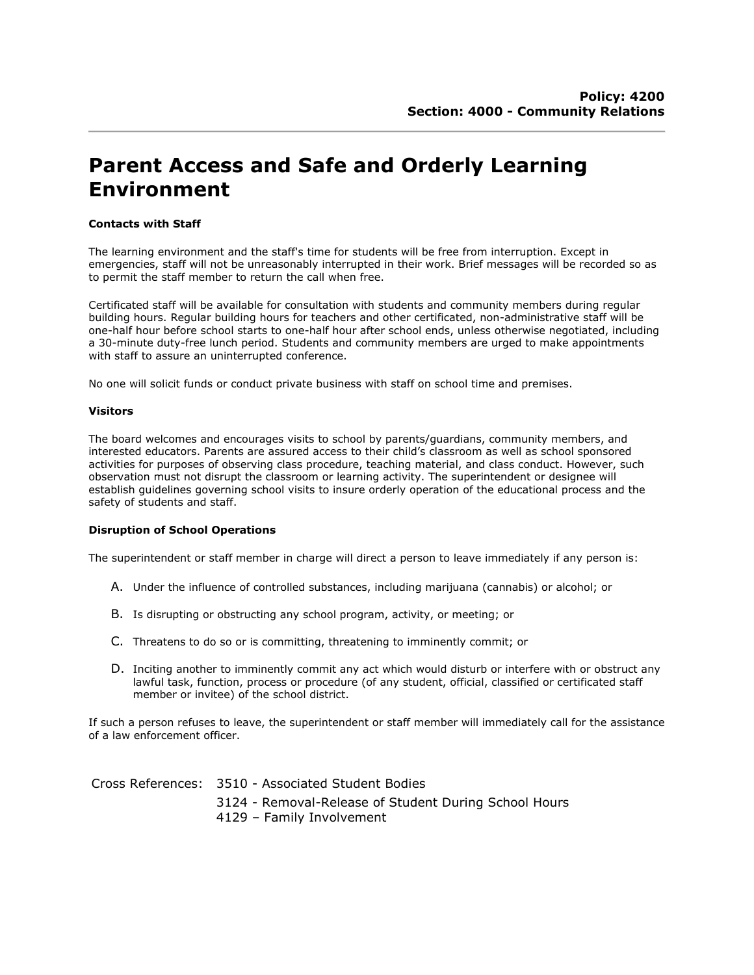## **Parent Access and Safe and Orderly Learning Environment**

## **Contacts with Staff**

The learning environment and the staff's time for students will be free from interruption. Except in emergencies, staff will not be unreasonably interrupted in their work. Brief messages will be recorded so as to permit the staff member to return the call when free.

Certificated staff will be available for consultation with students and community members during regular building hours. Regular building hours for teachers and other certificated, non-administrative staff will be one-half hour before school starts to one-half hour after school ends, unless otherwise negotiated, including a 30-minute duty-free lunch period. Students and community members are urged to make appointments with staff to assure an uninterrupted conference.

No one will solicit funds or conduct private business with staff on school time and premises.

## **Visitors**

The board welcomes and encourages visits to school by parents/guardians, community members, and interested educators. Parents are assured access to their child's classroom as well as school sponsored activities for purposes of observing class procedure, teaching material, and class conduct. However, such observation must not disrupt the classroom or learning activity. The superintendent or designee will establish guidelines governing school visits to insure orderly operation of the educational process and the safety of students and staff.

## **Disruption of School Operations**

The superintendent or staff member in charge will direct a person to leave immediately if any person is:

- A. Under the influence of controlled substances, including marijuana (cannabis) or alcohol; or
- B. Is disrupting or obstructing any school program, activity, or meeting; or
- C. Threatens to do so or is committing, threatening to imminently commit; or
- D. Inciting another to imminently commit any act which would disturb or interfere with or obstruct any lawful task, function, process or procedure (of any student, official, classified or certificated staff member or invitee) of the school district.

If such a person refuses to leave, the superintendent or staff member will immediately call for the assistance of a law enforcement officer.

Cross References: 3510 - Associated Student Bodies 3124 - Removal-Release of Student During School Hours 4129 – Family Involvement